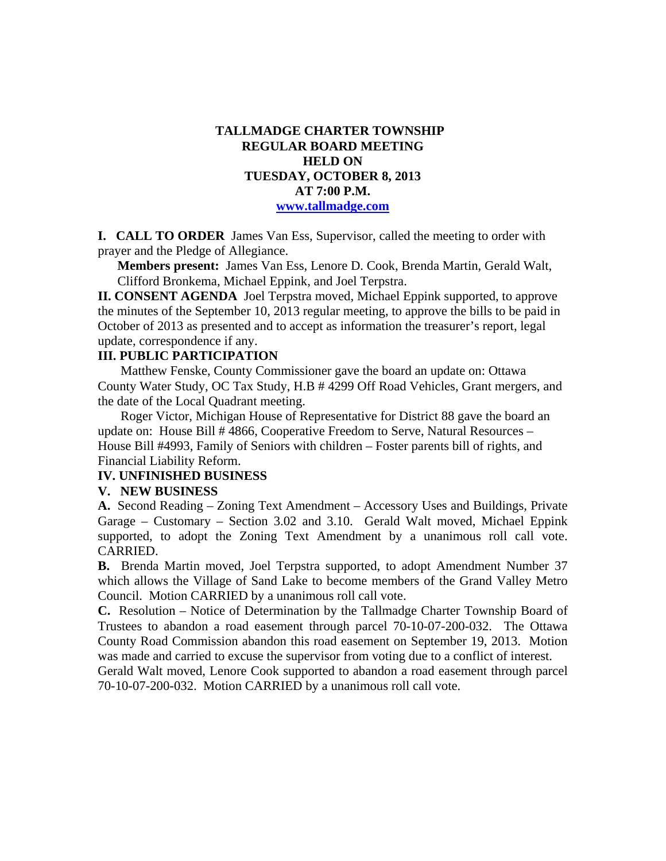## **TALLMADGE CHARTER TOWNSHIP REGULAR BOARD MEETING HELD ON TUESDAY, OCTOBER 8, 2013 AT 7:00 P.M. www.tallmadge.com**

**I. CALL TO ORDER** James Van Ess, Supervisor, called the meeting to order with prayer and the Pledge of Allegiance.

**Members present:** James Van Ess, Lenore D. Cook, Brenda Martin, Gerald Walt, Clifford Bronkema, Michael Eppink, and Joel Terpstra.

**II. CONSENT AGENDA** Joel Terpstra moved, Michael Eppink supported, to approve the minutes of the September 10, 2013 regular meeting, to approve the bills to be paid in October of 2013 as presented and to accept as information the treasurer's report, legal update, correspondence if any.

## **III. PUBLIC PARTICIPATION**

Matthew Fenske, County Commissioner gave the board an update on: Ottawa County Water Study, OC Tax Study, H.B # 4299 Off Road Vehicles, Grant mergers, and the date of the Local Quadrant meeting.

 Roger Victor, Michigan House of Representative for District 88 gave the board an update on: House Bill # 4866, Cooperative Freedom to Serve, Natural Resources – House Bill #4993, Family of Seniors with children – Foster parents bill of rights, and Financial Liability Reform.

## **IV. UNFINISHED BUSINESS**

#### **V. NEW BUSINESS**

**A.** Second Reading – Zoning Text Amendment – Accessory Uses and Buildings, Private Garage – Customary – Section 3.02 and 3.10. Gerald Walt moved, Michael Eppink supported, to adopt the Zoning Text Amendment by a unanimous roll call vote. CARRIED.

**B.** Brenda Martin moved, Joel Terpstra supported, to adopt Amendment Number 37 which allows the Village of Sand Lake to become members of the Grand Valley Metro Council. Motion CARRIED by a unanimous roll call vote.

**C.** Resolution – Notice of Determination by the Tallmadge Charter Township Board of Trustees to abandon a road easement through parcel 70-10-07-200-032. The Ottawa County Road Commission abandon this road easement on September 19, 2013. Motion was made and carried to excuse the supervisor from voting due to a conflict of interest.

Gerald Walt moved, Lenore Cook supported to abandon a road easement through parcel 70-10-07-200-032. Motion CARRIED by a unanimous roll call vote.